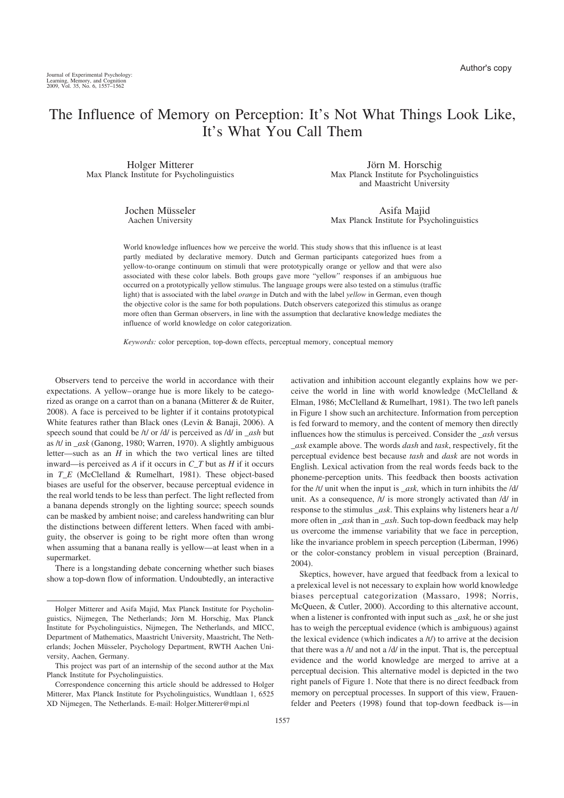# The Influence of Memory on Perception: It's Not What Things Look Like, It's What You Call Them

Holger Mitterer Max Planck Institute for Psycholinguistics

> Jochen Müsseler Aachen University

Jörn M. Horschig Max Planck Institute for Psycholinguistics and Maastricht University

Asifa Majid Max Planck Institute for Psycholinguistics

World knowledge influences how we perceive the world. This study shows that this influence is at least partly mediated by declarative memory. Dutch and German participants categorized hues from a yellow-to-orange continuum on stimuli that were prototypically orange or yellow and that were also associated with these color labels. Both groups gave more "yellow" responses if an ambiguous hue occurred on a prototypically yellow stimulus. The language groups were also tested on a stimulus (traffic light) that is associated with the label *orange* in Dutch and with the label *yellow* in German, even though the objective color is the same for both populations. Dutch observers categorized this stimulus as orange more often than German observers, in line with the assumption that declarative knowledge mediates the influence of world knowledge on color categorization.

*Keywords:* color perception, top-down effects, perceptual memory, conceptual memory

Observers tend to perceive the world in accordance with their expectations. A yellow– orange hue is more likely to be categorized as orange on a carrot than on a banana (Mitterer & de Ruiter, 2008). A face is perceived to be lighter if it contains prototypical White features rather than Black ones (Levin & Banaji, 2006). A speech sound that could be /t/ or /d/ is perceived as /d/ in *\_ash* but as /t/ in *\_ask* (Ganong, 1980; Warren, 1970). A slightly ambiguous letter—such as an *H* in which the two vertical lines are tilted inward—is perceived as *A* if it occurs in *C\_T* but as *H* if it occurs in *T\_E* (McClelland & Rumelhart, 1981). These object-based biases are useful for the observer, because perceptual evidence in the real world tends to be less than perfect. The light reflected from a banana depends strongly on the lighting source; speech sounds can be masked by ambient noise; and careless handwriting can blur the distinctions between different letters. When faced with ambiguity, the observer is going to be right more often than wrong when assuming that a banana really is yellow—at least when in a supermarket.

There is a longstanding debate concerning whether such biases show a top-down flow of information. Undoubtedly, an interactive activation and inhibition account elegantly explains how we perceive the world in line with world knowledge (McClelland & Elman, 1986; McClelland & Rumelhart, 1981). The two left panels in Figure 1 show such an architecture. Information from perception is fed forward to memory, and the content of memory then directly influences how the stimulus is perceived. Consider the *\_ash* versus *\_ask* example above. The words *dash* and *task*, respectively, fit the perceptual evidence best because *tash* and *dask* are not words in English. Lexical activation from the real words feeds back to the phoneme-perception units. This feedback then boosts activation for the /t/ unit when the input is *\_ask,* which in turn inhibits the /d/ unit. As a consequence, /t/ is more strongly activated than /d/ in response to the stimulus *\_ask*. This explains why listeners hear a /t/ more often in *\_ask* than in *\_ash*. Such top-down feedback may help us overcome the immense variability that we face in perception, like the invariance problem in speech perception (Liberman, 1996) or the color-constancy problem in visual perception (Brainard, 2004).

Skeptics, however, have argued that feedback from a lexical to a prelexical level is not necessary to explain how world knowledge biases perceptual categorization (Massaro, 1998; Norris, McQueen, & Cutler, 2000). According to this alternative account, when a listener is confronted with input such as *\_ask,* he or she just has to weigh the perceptual evidence (which is ambiguous) against the lexical evidence (which indicates a /t/) to arrive at the decision that there was a  $/t/$  and not a  $/d/$  in the input. That is, the perceptual evidence and the world knowledge are merged to arrive at a perceptual decision. This alternative model is depicted in the two right panels of Figure 1. Note that there is no direct feedback from memory on perceptual processes. In support of this view, Frauenfelder and Peeters (1998) found that top-down feedback is—in

Holger Mitterer and Asifa Majid, Max Planck Institute for Psycholinguistics, Nijmegen, The Netherlands; Jörn M. Horschig, Max Planck Institute for Psycholinguistics, Nijmegen, The Netherlands, and MICC, Department of Mathematics, Maastricht University, Maastricht, The Netherlands; Jochen Müsseler, Psychology Department, RWTH Aachen University, Aachen, Germany.

This project was part of an internship of the second author at the Max Planck Institute for Psycholinguistics.

Correspondence concerning this article should be addressed to Holger Mitterer, Max Planck Institute for Psycholinguistics, Wundtlaan 1, 6525 XD Nijmegen, The Netherlands. E-mail: Holger.Mitterer@mpi.nl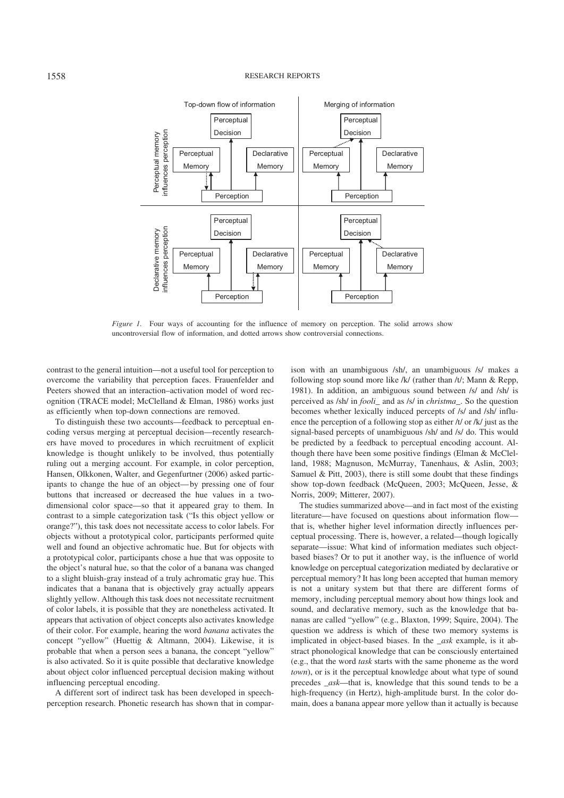#### 1558 RESEARCH REPORTS



*Figure 1.* Four ways of accounting for the influence of memory on perception. The solid arrows show uncontroversial flow of information, and dotted arrows show controversial connections.

contrast to the general intuition—not a useful tool for perception to overcome the variability that perception faces. Frauenfelder and Peeters showed that an interaction–activation model of word recognition (TRACE model; McClelland & Elman, 1986) works just as efficiently when top-down connections are removed.

To distinguish these two accounts—feedback to perceptual encoding versus merging at perceptual decision—recently researchers have moved to procedures in which recruitment of explicit knowledge is thought unlikely to be involved, thus potentially ruling out a merging account. For example, in color perception, Hansen, Olkkonen, Walter, and Gegenfurtner (2006) asked participants to change the hue of an object— by pressing one of four buttons that increased or decreased the hue values in a twodimensional color space—so that it appeared gray to them. In contrast to a simple categorization task ("Is this object yellow or orange?"), this task does not necessitate access to color labels. For objects without a prototypical color, participants performed quite well and found an objective achromatic hue. But for objects with a prototypical color, participants chose a hue that was opposite to the object's natural hue, so that the color of a banana was changed to a slight bluish-gray instead of a truly achromatic gray hue. This indicates that a banana that is objectively gray actually appears slightly yellow. Although this task does not necessitate recruitment of color labels, it is possible that they are nonetheless activated. It appears that activation of object concepts also activates knowledge of their color. For example, hearing the word *banana* activates the concept "yellow" (Huettig & Altmann, 2004). Likewise, it is probable that when a person sees a banana, the concept "yellow" is also activated. So it is quite possible that declarative knowledge about object color influenced perceptual decision making without influencing perceptual encoding.

A different sort of indirect task has been developed in speechperception research. Phonetic research has shown that in comparison with an unambiguous /sh/, an unambiguous /s/ makes a following stop sound more like /k/ (rather than /t/; Mann & Repp, 1981). In addition, an ambiguous sound between /s/ and /sh/ is perceived as /sh/ in *fooli*\_ and as /s/ in *christma\_*. So the question becomes whether lexically induced percepts of /s/ and /sh/ influence the perception of a following stop as either /t/ or /k/ just as the signal-based percepts of unambiguous /sh/ and /s/ do. This would be predicted by a feedback to perceptual encoding account. Although there have been some positive findings (Elman & McClelland, 1988; Magnuson, McMurray, Tanenhaus, & Aslin, 2003; Samuel & Pitt, 2003), there is still some doubt that these findings show top-down feedback (McQueen, 2003; McQueen, Jesse, & Norris, 2009; Mitterer, 2007).

The studies summarized above—and in fact most of the existing literature— have focused on questions about information flow that is, whether higher level information directly influences perceptual processing. There is, however, a related—though logically separate—issue: What kind of information mediates such objectbased biases? Or to put it another way, is the influence of world knowledge on perceptual categorization mediated by declarative or perceptual memory? It has long been accepted that human memory is not a unitary system but that there are different forms of memory, including perceptual memory about how things look and sound, and declarative memory, such as the knowledge that bananas are called "vellow" (e.g., Blaxton, 1999; Squire, 2004). The question we address is which of these two memory systems is implicated in object-based biases. In the *\_ask* example, is it abstract phonological knowledge that can be consciously entertained (e.g., that the word *task* starts with the same phoneme as the word *town*), or is it the perceptual knowledge about what type of sound precedes *\_ask*—that is, knowledge that this sound tends to be a high-frequency (in Hertz), high-amplitude burst. In the color domain, does a banana appear more yellow than it actually is because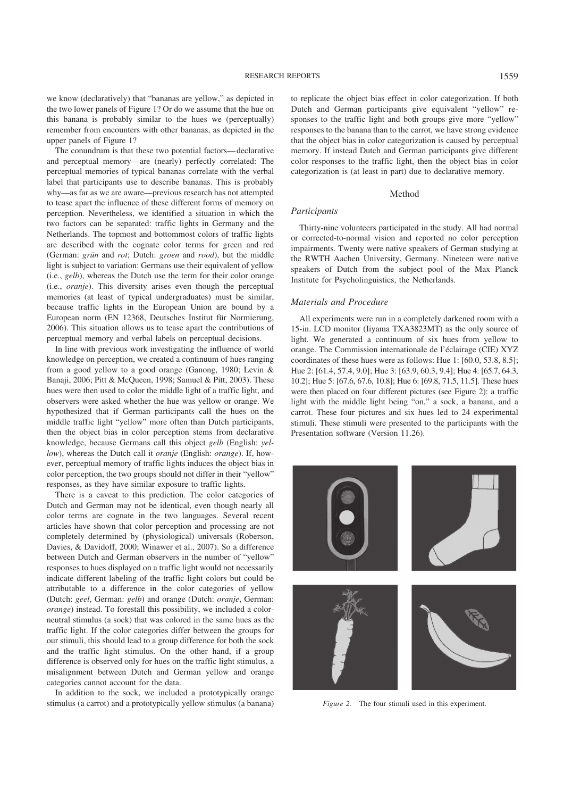we know (declaratively) that "bananas are yellow," as depicted in the two lower panels of Figure 1? Or do we assume that the hue on this banana is probably similar to the hues we (perceptually) remember from encounters with other bananas, as depicted in the upper panels of Figure 1?

The conundrum is that these two potential factors— declarative and perceptual memory—are (nearly) perfectly correlated: The perceptual memories of typical bananas correlate with the verbal label that participants use to describe bananas. This is probably why—as far as we are aware—previous research has not attempted to tease apart the influence of these different forms of memory on perception. Nevertheless, we identified a situation in which the two factors can be separated: traffic lights in Germany and the Netherlands. The topmost and bottommost colors of traffic lights are described with the cognate color terms for green and red (German: *grün* and *rot*; Dutch: *groen* and *rood*), but the middle light is subject to variation: Germans use their equivalent of yellow (i.e., *gelb*), whereas the Dutch use the term for their color orange (i.e., *oranje*). This diversity arises even though the perceptual memories (at least of typical undergraduates) must be similar, because traffic lights in the European Union are bound by a European norm (EN 12368, Deutsches Institut für Normierung, 2006). This situation allows us to tease apart the contributions of perceptual memory and verbal labels on perceptual decisions.

In line with previous work investigating the influence of world knowledge on perception, we created a continuum of hues ranging from a good yellow to a good orange (Ganong, 1980; Levin & Banaji, 2006; Pitt & McQueen, 1998; Samuel & Pitt, 2003). These hues were then used to color the middle light of a traffic light, and observers were asked whether the hue was yellow or orange. We hypothesized that if German participants call the hues on the middle traffic light "yellow" more often than Dutch participants, then the object bias in color perception stems from declarative knowledge, because Germans call this object *gelb* (English: *yellow*), whereas the Dutch call it *oranje* (English: *orange*). If, however, perceptual memory of traffic lights induces the object bias in color perception, the two groups should not differ in their "yellow" responses, as they have similar exposure to traffic lights.

There is a caveat to this prediction. The color categories of Dutch and German may not be identical, even though nearly all color terms are cognate in the two languages. Several recent articles have shown that color perception and processing are not completely determined by (physiological) universals (Roberson, Davies, & Davidoff, 2000; Winawer et al., 2007). So a difference between Dutch and German observers in the number of "yellow" responses to hues displayed on a traffic light would not necessarily indicate different labeling of the traffic light colors but could be attributable to a difference in the color categories of yellow (Dutch: *geel*, German: *gelb*) and orange (Dutch: *oranje*, German: *orange*) instead. To forestall this possibility, we included a colorneutral stimulus (a sock) that was colored in the same hues as the traffic light. If the color categories differ between the groups for our stimuli, this should lead to a group difference for both the sock and the traffic light stimulus. On the other hand, if a group difference is observed only for hues on the traffic light stimulus, a misalignment between Dutch and German yellow and orange categories cannot account for the data.

In addition to the sock, we included a prototypically orange stimulus (a carrot) and a prototypically yellow stimulus (a banana) to replicate the object bias effect in color categorization. If both Dutch and German participants give equivalent "yellow" responses to the traffic light and both groups give more "yellow" responses to the banana than to the carrot, we have strong evidence that the object bias in color categorization is caused by perceptual memory. If instead Dutch and German participants give different color responses to the traffic light, then the object bias in color categorization is (at least in part) due to declarative memory.

## Method

## *Participants*

Thirty-nine volunteers participated in the study. All had normal or corrected-to-normal vision and reported no color perception impairments. Twenty were native speakers of German studying at the RWTH Aachen University, Germany. Nineteen were native speakers of Dutch from the subject pool of the Max Planck Institute for Psycholinguistics, the Netherlands.

#### *Materials and Procedure*

All experiments were run in a completely darkened room with a 15-in. LCD monitor (Iiyama TXA3823MT) as the only source of light. We generated a continuum of six hues from yellow to orange. The Commission internationale de l'éclairage (CIE) XYZ coordinates of these hues were as follows: Hue 1: [60.0, 53.8, 8.5]; Hue 2: [61.4, 57.4, 9.0]; Hue 3: [63.9, 60.3, 9.4]; Hue 4: [65.7, 64.3, 10.2]; Hue 5: [67.6, 67.6, 10.8]; Hue 6: [69.8, 71.5, 11.5]. These hues were then placed on four different pictures (see Figure 2): a traffic light with the middle light being "on," a sock, a banana, and a carrot. These four pictures and six hues led to 24 experimental stimuli. These stimuli were presented to the participants with the Presentation software (Version 11.26).



*Figure 2.* The four stimuli used in this experiment.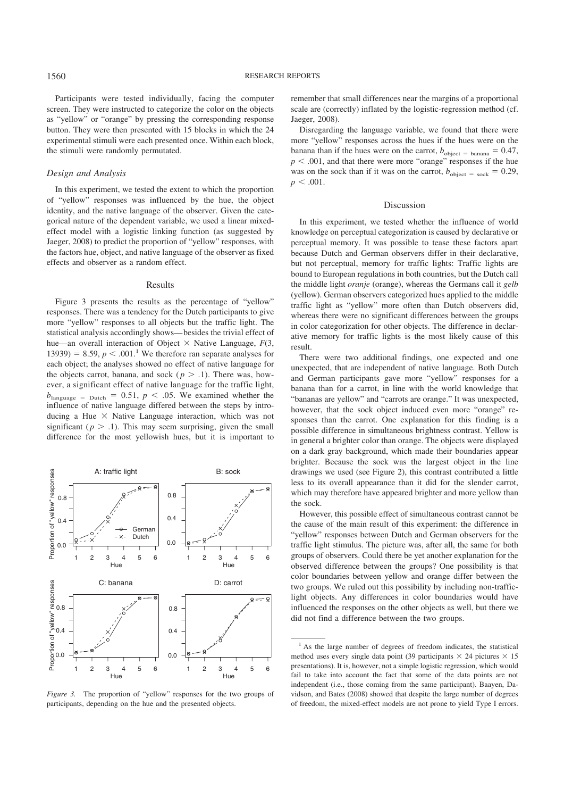Participants were tested individually, facing the computer screen. They were instructed to categorize the color on the objects as "yellow" or "orange" by pressing the corresponding response button. They were then presented with 15 blocks in which the 24 experimental stimuli were each presented once. Within each block, the stimuli were randomly permutated.

### *Design and Analysis*

In this experiment, we tested the extent to which the proportion of "yellow" responses was influenced by the hue, the object identity, and the native language of the observer. Given the categorical nature of the dependent variable, we used a linear mixedeffect model with a logistic linking function (as suggested by Jaeger, 2008) to predict the proportion of "yellow" responses, with the factors hue, object, and native language of the observer as fixed effects and observer as a random effect.

## Results

Figure 3 presents the results as the percentage of "yellow" responses. There was a tendency for the Dutch participants to give more "yellow" responses to all objects but the traffic light. The statistical analysis accordingly shows— besides the trivial effect of hue—an overall interaction of Object  $\times$  Native Language,  $F(3)$ , 13939) = 8.59,  $p < .001$ .<sup>1</sup> We therefore ran separate analyses for each object; the analyses showed no effect of native language for the objects carrot, banana, and sock ( $p > 0.1$ ). There was, however, a significant effect of native language for the traffic light,  $b_{\text{language}} = \text{Dutch} = 0.51$ ,  $p < .05$ . We examined whether the influence of native language differed between the steps by introducing a Hue  $\times$  Native Language interaction, which was not significant ( $p > 0.1$ ). This may seem surprising, given the small difference for the most yellowish hues, but it is important to



*Figure 3.* The proportion of "yellow" responses for the two groups of participants, depending on the hue and the presented objects.

remember that small differences near the margins of a proportional scale are (correctly) inflated by the logistic-regression method (cf. Jaeger, 2008).

Disregarding the language variable, we found that there were more "yellow" responses across the hues if the hues were on the banana than if the hues were on the carrot,  $b_{\text{object}} = \text{banna} = 0.47$ ,  $p < .001$ , and that there were more "orange" responses if the hue was on the sock than if it was on the carrot,  $b_{\text{object}} = \text{sock} = 0.29$ ,  $p < .001$ .

## Discussion

In this experiment, we tested whether the influence of world knowledge on perceptual categorization is caused by declarative or perceptual memory. It was possible to tease these factors apart because Dutch and German observers differ in their declarative, but not perceptual, memory for traffic lights: Traffic lights are bound to European regulations in both countries, but the Dutch call the middle light *oranje* (orange), whereas the Germans call it *gelb* (yellow). German observers categorized hues applied to the middle traffic light as "yellow" more often than Dutch observers did, whereas there were no significant differences between the groups in color categorization for other objects. The difference in declarative memory for traffic lights is the most likely cause of this result.

There were two additional findings, one expected and one unexpected, that are independent of native language. Both Dutch and German participants gave more "yellow" responses for a banana than for a carrot, in line with the world knowledge that "bananas are yellow" and "carrots are orange." It was unexpected, however, that the sock object induced even more "orange" responses than the carrot. One explanation for this finding is a possible difference in simultaneous brightness contrast. Yellow is in general a brighter color than orange. The objects were displayed on a dark gray background, which made their boundaries appear brighter. Because the sock was the largest object in the line drawings we used (see Figure 2), this contrast contributed a little less to its overall appearance than it did for the slender carrot, which may therefore have appeared brighter and more yellow than the sock.

However, this possible effect of simultaneous contrast cannot be the cause of the main result of this experiment: the difference in "yellow" responses between Dutch and German observers for the traffic light stimulus. The picture was, after all, the same for both groups of observers. Could there be yet another explanation for the observed difference between the groups? One possibility is that color boundaries between yellow and orange differ between the two groups. We ruled out this possibility by including non-trafficlight objects. Any differences in color boundaries would have influenced the responses on the other objects as well, but there we did not find a difference between the two groups.

<sup>&</sup>lt;sup>1</sup> As the large number of degrees of freedom indicates, the statistical method uses every single data point (39 participants  $\times$  24 pictures  $\times$  15 presentations). It is, however, not a simple logistic regression, which would fail to take into account the fact that some of the data points are not independent (i.e., those coming from the same participant). Baayen, Davidson, and Bates (2008) showed that despite the large number of degrees of freedom, the mixed-effect models are not prone to yield Type I errors.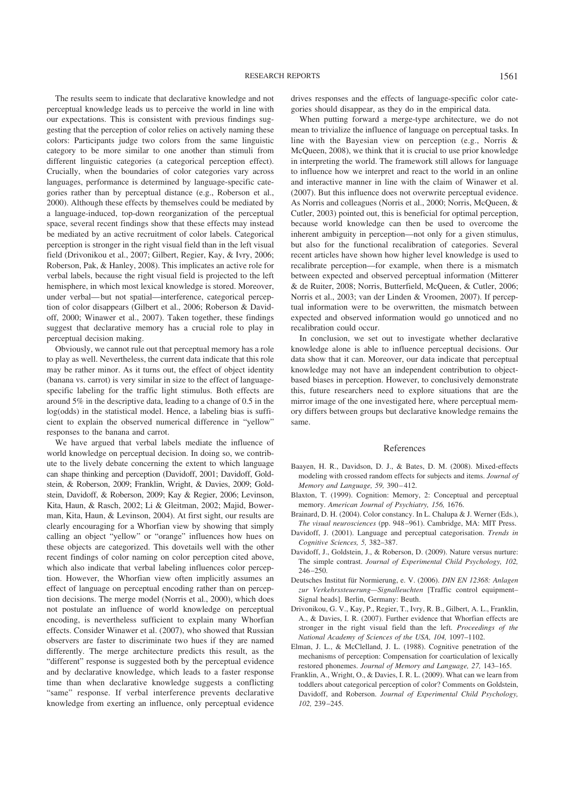The results seem to indicate that declarative knowledge and not perceptual knowledge leads us to perceive the world in line with our expectations. This is consistent with previous findings suggesting that the perception of color relies on actively naming these colors: Participants judge two colors from the same linguistic category to be more similar to one another than stimuli from different linguistic categories (a categorical perception effect). Crucially, when the boundaries of color categories vary across languages, performance is determined by language-specific categories rather than by perceptual distance (e.g., Roberson et al., 2000). Although these effects by themselves could be mediated by a language-induced, top-down reorganization of the perceptual space, several recent findings show that these effects may instead be mediated by an active recruitment of color labels. Categorical perception is stronger in the right visual field than in the left visual field (Drivonikou et al., 2007; Gilbert, Regier, Kay, & Ivry, 2006; Roberson, Pak, & Hanley, 2008). This implicates an active role for verbal labels, because the right visual field is projected to the left hemisphere, in which most lexical knowledge is stored. Moreover, under verbal— but not spatial—interference, categorical perception of color disappears (Gilbert et al., 2006; Roberson & Davidoff, 2000; Winawer et al., 2007). Taken together, these findings suggest that declarative memory has a crucial role to play in perceptual decision making.

Obviously, we cannot rule out that perceptual memory has a role to play as well. Nevertheless, the current data indicate that this role may be rather minor. As it turns out, the effect of object identity (banana vs. carrot) is very similar in size to the effect of languagespecific labeling for the traffic light stimulus. Both effects are around 5% in the descriptive data, leading to a change of 0.5 in the log(odds) in the statistical model. Hence, a labeling bias is sufficient to explain the observed numerical difference in "yellow" responses to the banana and carrot.

We have argued that verbal labels mediate the influence of world knowledge on perceptual decision. In doing so, we contribute to the lively debate concerning the extent to which language can shape thinking and perception (Davidoff, 2001; Davidoff, Goldstein, & Roberson, 2009; Franklin, Wright, & Davies, 2009; Goldstein, Davidoff, & Roberson, 2009; Kay & Regier, 2006; Levinson, Kita, Haun, & Rasch, 2002; Li & Gleitman, 2002; Majid, Bowerman, Kita, Haun, & Levinson, 2004). At first sight, our results are clearly encouraging for a Whorfian view by showing that simply calling an object "yellow" or "orange" influences how hues on these objects are categorized. This dovetails well with the other recent findings of color naming on color perception cited above, which also indicate that verbal labeling influences color perception. However, the Whorfian view often implicitly assumes an effect of language on perceptual encoding rather than on perception decisions. The merge model (Norris et al., 2000), which does not postulate an influence of world knowledge on perceptual encoding, is nevertheless sufficient to explain many Whorfian effects. Consider Winawer et al. (2007), who showed that Russian observers are faster to discriminate two hues if they are named differently. The merge architecture predicts this result, as the "different" response is suggested both by the perceptual evidence and by declarative knowledge, which leads to a faster response time than when declarative knowledge suggests a conflicting "same" response. If verbal interference prevents declarative knowledge from exerting an influence, only perceptual evidence

drives responses and the effects of language-specific color categories should disappear, as they do in the empirical data.

When putting forward a merge-type architecture, we do not mean to trivialize the influence of language on perceptual tasks. In line with the Bayesian view on perception (e.g., Norris & McQueen, 2008), we think that it is crucial to use prior knowledge in interpreting the world. The framework still allows for language to influence how we interpret and react to the world in an online and interactive manner in line with the claim of Winawer et al. (2007). But this influence does not overwrite perceptual evidence. As Norris and colleagues (Norris et al., 2000; Norris, McQueen, & Cutler, 2003) pointed out, this is beneficial for optimal perception, because world knowledge can then be used to overcome the inherent ambiguity in perception—not only for a given stimulus, but also for the functional recalibration of categories. Several recent articles have shown how higher level knowledge is used to recalibrate perception—for example, when there is a mismatch between expected and observed perceptual information (Mitterer & de Ruiter, 2008; Norris, Butterfield, McQueen, & Cutler, 2006; Norris et al., 2003; van der Linden & Vroomen, 2007). If perceptual information were to be overwritten, the mismatch between expected and observed information would go unnoticed and no recalibration could occur.

In conclusion, we set out to investigate whether declarative knowledge alone is able to influence perceptual decisions. Our data show that it can. Moreover, our data indicate that perceptual knowledge may not have an independent contribution to objectbased biases in perception. However, to conclusively demonstrate this, future researchers need to explore situations that are the mirror image of the one investigated here, where perceptual memory differs between groups but declarative knowledge remains the same.

#### References

- Baayen, H. R., Davidson, D. J., & Bates, D. M. (2008). Mixed-effects modeling with crossed random effects for subjects and items. *Journal of Memory and Language, 59,* 390 – 412.
- Blaxton, T. (1999). Cognition: Memory, 2: Conceptual and perceptual memory. *American Journal of Psychiatry, 156,* 1676.
- Brainard, D. H. (2004). Color constancy. In L. Chalupa & J. Werner (Eds.), *The visual neurosciences* (pp. 948 –961). Cambridge, MA: MIT Press.
- Davidoff, J. (2001). Language and perceptual categorisation. *Trends in Cognitive Sciences, 5,* 382–387.
- Davidoff, J., Goldstein, J., & Roberson, D. (2009). Nature versus nurture: The simple contrast. *Journal of Experimental Child Psychology, 102,* 246-250.
- Deutsches Institut für Normierung, e. V. (2006). *DIN EN 12368: Anlagen zur Verkehrssteuerung—Signalleuchten* [Traffic control equipment– Signal heads]. Berlin, Germany: Beuth.
- Drivonikou, G. V., Kay, P., Regier, T., Ivry, R. B., Gilbert, A. L., Franklin, A., & Davies, I. R. (2007). Further evidence that Whorfian effects are stronger in the right visual field than the left. *Proceedings of the National Academy of Sciences of the USA, 104,* 1097–1102.
- Elman, J. L., & McClelland, J. L. (1988). Cognitive penetration of the mechanisms of perception: Compensation for coarticulation of lexically restored phonemes. *Journal of Memory and Language, 27,* 143–165.
- Franklin, A., Wright, O., & Davies, I. R. L. (2009). What can we learn from toddlers about categorical perception of color? Comments on Goldstein, Davidoff, and Roberson. *Journal of Experimental Child Psychology, 102,* 239 –245.